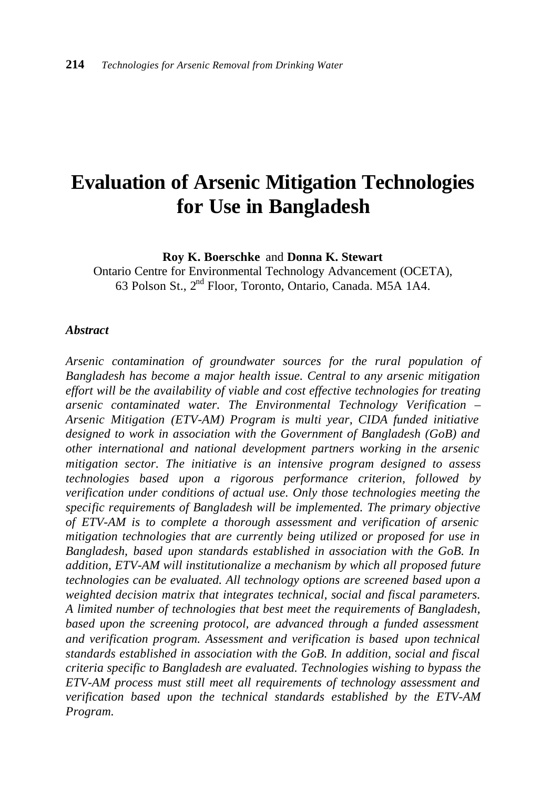# **Evaluation of Arsenic Mitigation Technologies for Use in Bangladesh**

**Roy K. Boerschke** and **Donna K. Stewart**

Ontario Centre for Environmental Technology Advancement (OCETA), 63 Polson St., 2nd Floor, Toronto, Ontario, Canada. M5A 1A4.

#### *Abstract*

*Arsenic contamination of groundwater sources for the rural population of Bangladesh has become a major health issue. Central to any arsenic mitigation effort will be the availability of viable and cost effective technologies for treating arsenic contaminated water. The Environmental Technology Verification – Arsenic Mitigation (ETV-AM) Program is multi year, CIDA funded initiative designed to work in association with the Government of Bangladesh (GoB) and other international and national development partners working in the arsenic mitigation sector. The initiative is an intensive program designed to assess technologies based upon a rigorous performance criterion, followed by verification under conditions of actual use. Only those technologies meeting the specific requirements of Bangladesh will be implemented. The primary objective of ETV-AM is to complete a thorough assessment and verification of arsenic mitigation technologies that are currently being utilized or proposed for use in Bangladesh, based upon standards established in association with the GoB. In addition, ETV-AM will institutionalize a mechanism by which all proposed future technologies can be evaluated. All technology options are screened based upon a weighted decision matrix that integrates technical, social and fiscal parameters. A limited number of technologies that best meet the requirements of Bangladesh, based upon the screening protocol, are advanced through a funded assessment and verification program. Assessment and verification is based upon technical standards established in association with the GoB. In addition, social and fiscal criteria specific to Bangladesh are evaluated. Technologies wishing to bypass the ETV-AM process must still meet all requirements of technology assessment and verification based upon the technical standards established by the ETV-AM Program.*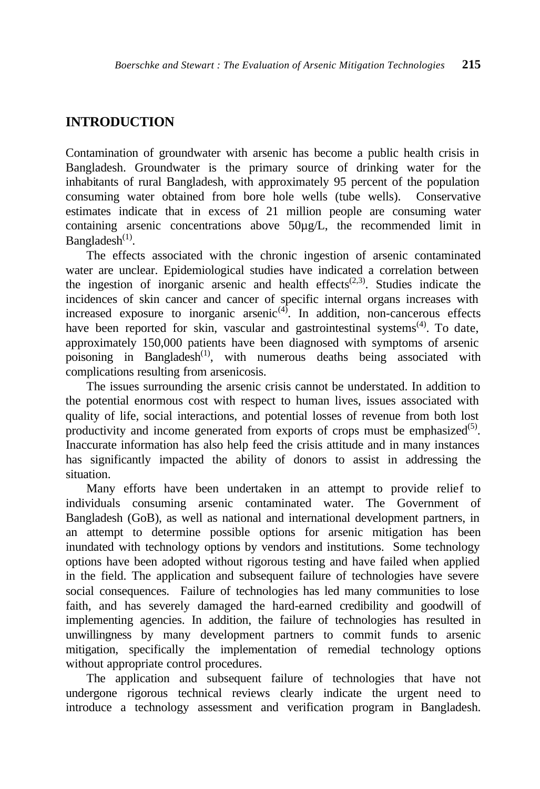# **INTRODUCTION**

Contamination of groundwater with arsenic has become a public health crisis in Bangladesh. Groundwater is the primary source of drinking water for the inhabitants of rural Bangladesh, with approximately 95 percent of the population consuming water obtained from bore hole wells (tube wells). Conservative estimates indicate that in excess of 21 million people are consuming water containing arsenic concentrations above 50µg/L, the recommended limit in Bangladesh $(1)$ .

The effects associated with the chronic ingestion of arsenic contaminated water are unclear. Epidemiological studies have indicated a correlation between the ingestion of inorganic arsenic and health effects<sup> $(2,3)$ </sup>. Studies indicate the incidences of skin cancer and cancer of specific internal organs increases with increased exposure to inorganic arsenic<sup> $(4)$ </sup>. In addition, non-cancerous effects have been reported for skin, vascular and gastrointestinal systems<sup>(4)</sup>. To date, approximately 150,000 patients have been diagnosed with symptoms of arsenic poisoning in Bangladesh<sup>(1)</sup>, with numerous deaths being associated with complications resulting from arsenicosis.

The issues surrounding the arsenic crisis cannot be understated. In addition to the potential enormous cost with respect to human lives, issues associated with quality of life, social interactions, and potential losses of revenue from both lost productivity and income generated from exports of crops must be emphasized<sup>(5)</sup>. Inaccurate information has also help feed the crisis attitude and in many instances has significantly impacted the ability of donors to assist in addressing the situation.

Many efforts have been undertaken in an attempt to provide relief to individuals consuming arsenic contaminated water. The Government of Bangladesh (GoB), as well as national and international development partners, in an attempt to determine possible options for arsenic mitigation has been inundated with technology options by vendors and institutions. Some technology options have been adopted without rigorous testing and have failed when applied in the field. The application and subsequent failure of technologies have severe social consequences. Failure of technologies has led many communities to lose faith, and has severely damaged the hard-earned credibility and goodwill of implementing agencies. In addition, the failure of technologies has resulted in unwillingness by many development partners to commit funds to arsenic mitigation, specifically the implementation of remedial technology options without appropriate control procedures.

The application and subsequent failure of technologies that have not undergone rigorous technical reviews clearly indicate the urgent need to introduce a technology assessment and verification program in Bangladesh.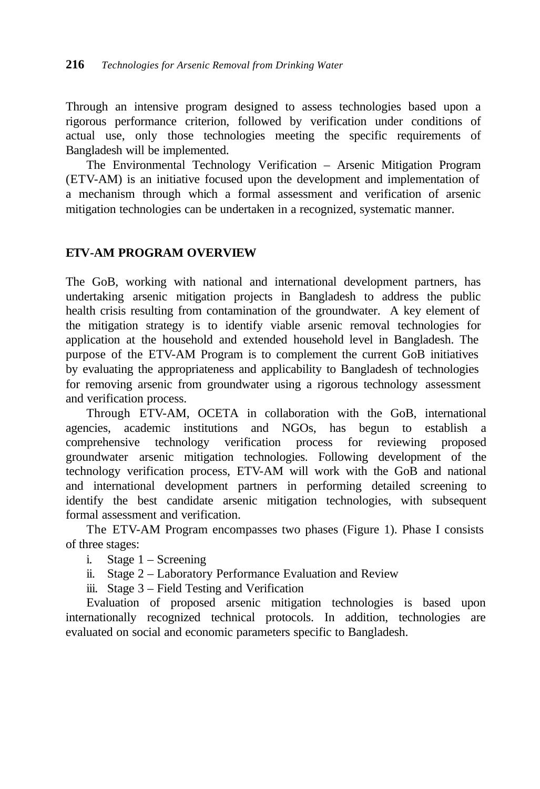Through an intensive program designed to assess technologies based upon a rigorous performance criterion, followed by verification under conditions of actual use, only those technologies meeting the specific requirements of Bangladesh will be implemented.

The Environmental Technology Verification – Arsenic Mitigation Program (ETV-AM) is an initiative focused upon the development and implementation of a mechanism through which a formal assessment and verification of arsenic mitigation technologies can be undertaken in a recognized, systematic manner.

#### **ETV-AM PROGRAM OVERVIEW**

The GoB, working with national and international development partners, has undertaking arsenic mitigation projects in Bangladesh to address the public health crisis resulting from contamination of the groundwater. A key element of the mitigation strategy is to identify viable arsenic removal technologies for application at the household and extended household level in Bangladesh. The purpose of the ETV-AM Program is to complement the current GoB initiatives by evaluating the appropriateness and applicability to Bangladesh of technologies for removing arsenic from groundwater using a rigorous technology assessment and verification process.

Through ETV-AM, OCETA in collaboration with the GoB, international agencies, academic institutions and NGOs, has begun to establish a comprehensive technology verification process for reviewing proposed groundwater arsenic mitigation technologies. Following development of the technology verification process, ETV-AM will work with the GoB and national and international development partners in performing detailed screening to identify the best candidate arsenic mitigation technologies, with subsequent formal assessment and verification.

The ETV-AM Program encompasses two phases (Figure 1). Phase I consists of three stages:

- i. Stage 1 Screening
- ii. Stage 2 Laboratory Performance Evaluation and Review
- iii. Stage 3 Field Testing and Verification

Evaluation of proposed arsenic mitigation technologies is based upon internationally recognized technical protocols. In addition, technologies are evaluated on social and economic parameters specific to Bangladesh.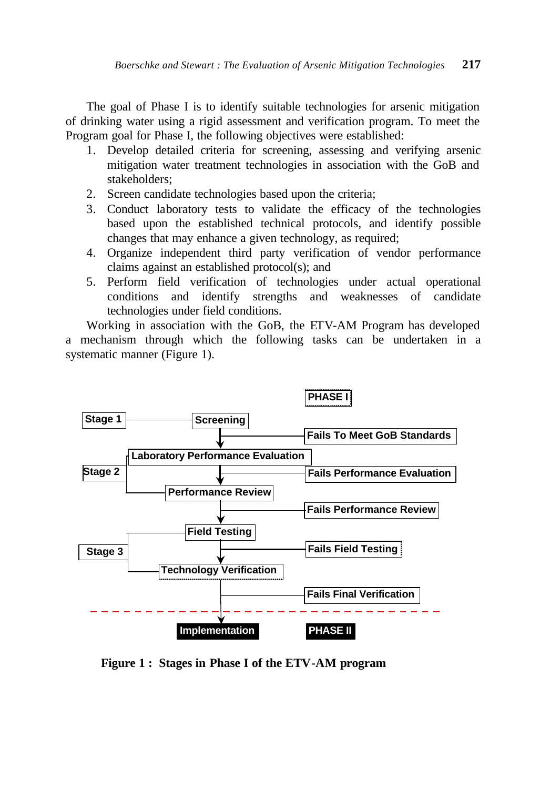The goal of Phase I is to identify suitable technologies for arsenic mitigation of drinking water using a rigid assessment and verification program. To meet the Program goal for Phase I, the following objectives were established:

- 1. Develop detailed criteria for screening, assessing and verifying arsenic mitigation water treatment technologies in association with the GoB and stakeholders;
- 2. Screen candidate technologies based upon the criteria;
- 3. Conduct laboratory tests to validate the efficacy of the technologies based upon the established technical protocols, and identify possible changes that may enhance a given technology, as required;
- 4. Organize independent third party verification of vendor performance claims against an established protocol(s); and
- 5. Perform field verification of technologies under actual operational conditions and identify strengths and weaknesses of candidate technologies under field conditions.

Working in association with the GoB, the ETV-AM Program has developed a mechanism through which the following tasks can be undertaken in a systematic manner (Figure 1).



**Figure 1 : Stages in Phase I of the ETV-AM program**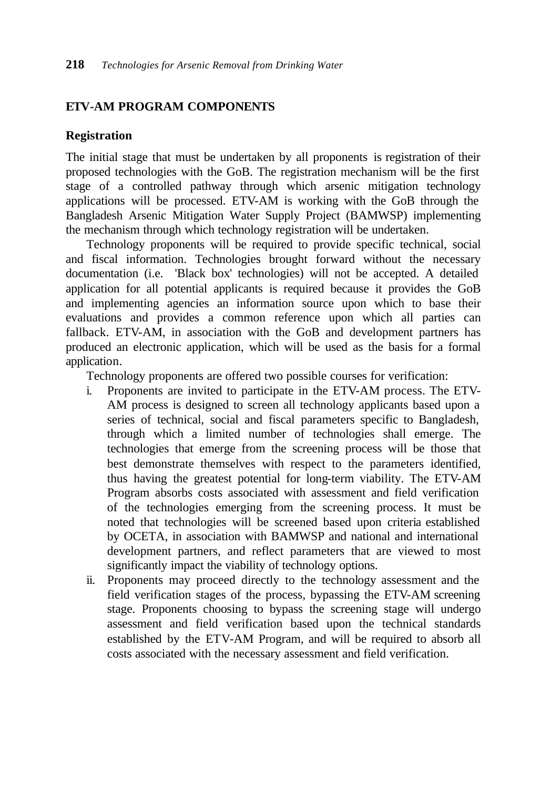#### **ETV-AM PROGRAM COMPONENTS**

#### **Registration**

The initial stage that must be undertaken by all proponents is registration of their proposed technologies with the GoB. The registration mechanism will be the first stage of a controlled pathway through which arsenic mitigation technology applications will be processed. ETV-AM is working with the GoB through the Bangladesh Arsenic Mitigation Water Supply Project (BAMWSP) implementing the mechanism through which technology registration will be undertaken.

Technology proponents will be required to provide specific technical, social and fiscal information. Technologies brought forward without the necessary documentation (i.e. 'Black box' technologies) will not be accepted. A detailed application for all potential applicants is required because it provides the GoB and implementing agencies an information source upon which to base their evaluations and provides a common reference upon which all parties can fallback. ETV-AM, in association with the GoB and development partners has produced an electronic application, which will be used as the basis for a formal application.

Technology proponents are offered two possible courses for verification:

- i. Proponents are invited to participate in the ETV-AM process. The ETV-AM process is designed to screen all technology applicants based upon a series of technical, social and fiscal parameters specific to Bangladesh, through which a limited number of technologies shall emerge. The technologies that emerge from the screening process will be those that best demonstrate themselves with respect to the parameters identified, thus having the greatest potential for long-term viability. The ETV-AM Program absorbs costs associated with assessment and field verification of the technologies emerging from the screening process. It must be noted that technologies will be screened based upon criteria established by OCETA, in association with BAMWSP and national and international development partners, and reflect parameters that are viewed to most significantly impact the viability of technology options.
- ii. Proponents may proceed directly to the technology assessment and the field verification stages of the process, bypassing the ETV-AM screening stage. Proponents choosing to bypass the screening stage will undergo assessment and field verification based upon the technical standards established by the ETV-AM Program, and will be required to absorb all costs associated with the necessary assessment and field verification.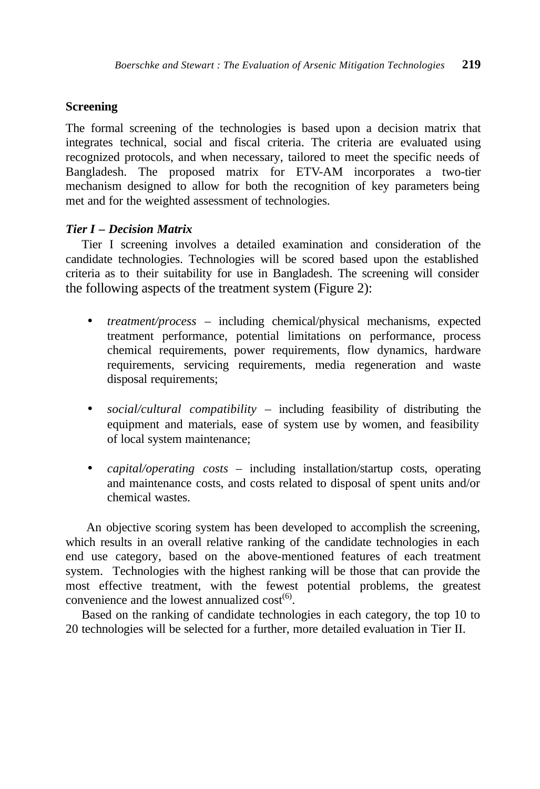## **Screening**

The formal screening of the technologies is based upon a decision matrix that integrates technical, social and fiscal criteria. The criteria are evaluated using recognized protocols, and when necessary, tailored to meet the specific needs of Bangladesh. The proposed matrix for ETV-AM incorporates a two-tier mechanism designed to allow for both the recognition of key parameters being met and for the weighted assessment of technologies.

## *Tier I – Decision Matrix*

Tier I screening involves a detailed examination and consideration of the candidate technologies. Technologies will be scored based upon the established criteria as to their suitability for use in Bangladesh. The screening will consider the following aspects of the treatment system (Figure 2):

- *treatment/process* including chemical/physical mechanisms, expected treatment performance, potential limitations on performance, process chemical requirements, power requirements, flow dynamics, hardware requirements, servicing requirements, media regeneration and waste disposal requirements;
- *social/cultural compatibility* including feasibility of distributing the equipment and materials, ease of system use by women, and feasibility of local system maintenance;
- *capital/operating costs* including installation/startup costs, operating and maintenance costs, and costs related to disposal of spent units and/or chemical wastes.

An objective scoring system has been developed to accomplish the screening, which results in an overall relative ranking of the candidate technologies in each end use category, based on the above-mentioned features of each treatment system. Technologies with the highest ranking will be those that can provide the most effective treatment, with the fewest potential problems, the greatest convenience and the lowest annualized  $cost<sup>(6)</sup>$ .

Based on the ranking of candidate technologies in each category, the top 10 to 20 technologies will be selected for a further, more detailed evaluation in Tier II.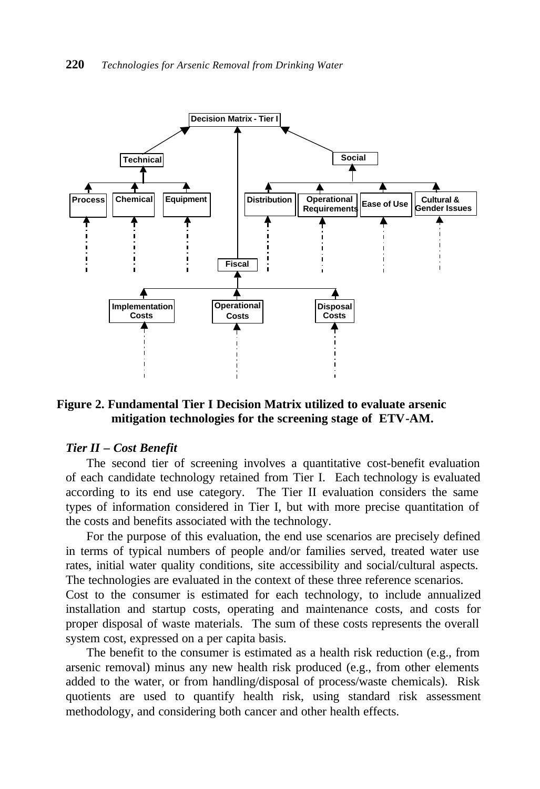

#### **Figure 2. Fundamental Tier I Decision Matrix utilized to evaluate arsenic mitigation technologies for the screening stage of ETV-AM.**

#### *Tier II – Cost Benefit*

The second tier of screening involves a quantitative cost-benefit evaluation of each candidate technology retained from Tier I. Each technology is evaluated according to its end use category. The Tier II evaluation considers the same types of information considered in Tier I, but with more precise quantitation of the costs and benefits associated with the technology.

For the purpose of this evaluation, the end use scenarios are precisely defined in terms of typical numbers of people and/or families served, treated water use rates, initial water quality conditions, site accessibility and social/cultural aspects. The technologies are evaluated in the context of these three reference scenarios.

Cost to the consumer is estimated for each technology, to include annualized installation and startup costs, operating and maintenance costs, and costs for proper disposal of waste materials. The sum of these costs represents the overall system cost, expressed on a per capita basis.

The benefit to the consumer is estimated as a health risk reduction (e.g., from arsenic removal) minus any new health risk produced (e.g., from other elements added to the water, or from handling/disposal of process/waste chemicals). Risk quotients are used to quantify health risk, using standard risk assessment methodology, and considering both cancer and other health effects.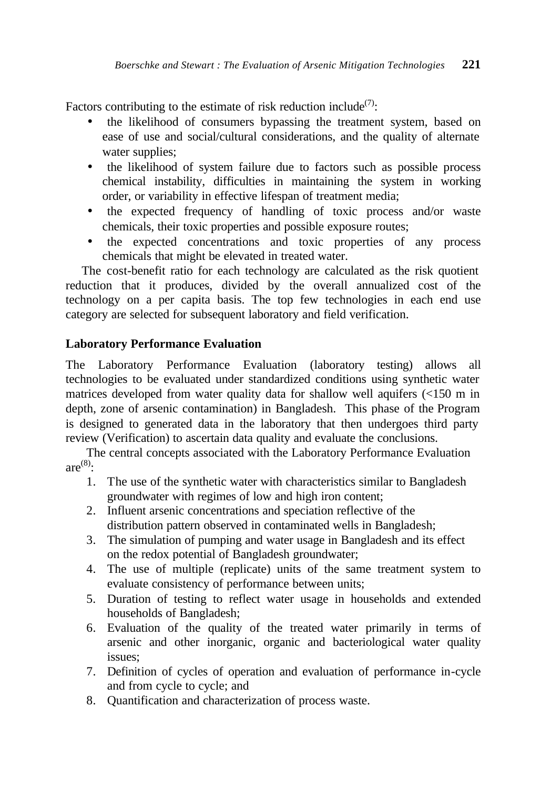Factors contributing to the estimate of risk reduction include<sup>(7)</sup>:

- the likelihood of consumers bypassing the treatment system, based on ease of use and social/cultural considerations, and the quality of alternate water supplies;
- the likelihood of system failure due to factors such as possible process chemical instability, difficulties in maintaining the system in working order, or variability in effective lifespan of treatment media;
- the expected frequency of handling of toxic process and/or waste chemicals, their toxic properties and possible exposure routes;
- the expected concentrations and toxic properties of any process chemicals that might be elevated in treated water.

The cost-benefit ratio for each technology are calculated as the risk quotient reduction that it produces, divided by the overall annualized cost of the technology on a per capita basis. The top few technologies in each end use category are selected for subsequent laboratory and field verification.

## **Laboratory Performance Evaluation**

The Laboratory Performance Evaluation (laboratory testing) allows all technologies to be evaluated under standardized conditions using synthetic water matrices developed from water quality data for shallow well aquifers (<150 m in depth, zone of arsenic contamination) in Bangladesh. This phase of the Program is designed to generated data in the laboratory that then undergoes third party review (Verification) to ascertain data quality and evaluate the conclusions.

The central concepts associated with the Laboratory Performance Evaluation  $are^{(8)}$ :

- 1. The use of the synthetic water with characteristics similar to Bangladesh groundwater with regimes of low and high iron content;
- 2. Influent arsenic concentrations and speciation reflective of the distribution pattern observed in contaminated wells in Bangladesh;
- 3. The simulation of pumping and water usage in Bangladesh and its effect on the redox potential of Bangladesh groundwater;
- 4. The use of multiple (replicate) units of the same treatment system to evaluate consistency of performance between units;
- 5. Duration of testing to reflect water usage in households and extended households of Bangladesh;
- 6. Evaluation of the quality of the treated water primarily in terms of arsenic and other inorganic, organic and bacteriological water quality issues;
- 7. Definition of cycles of operation and evaluation of performance in-cycle and from cycle to cycle; and
- 8. Quantification and characterization of process waste.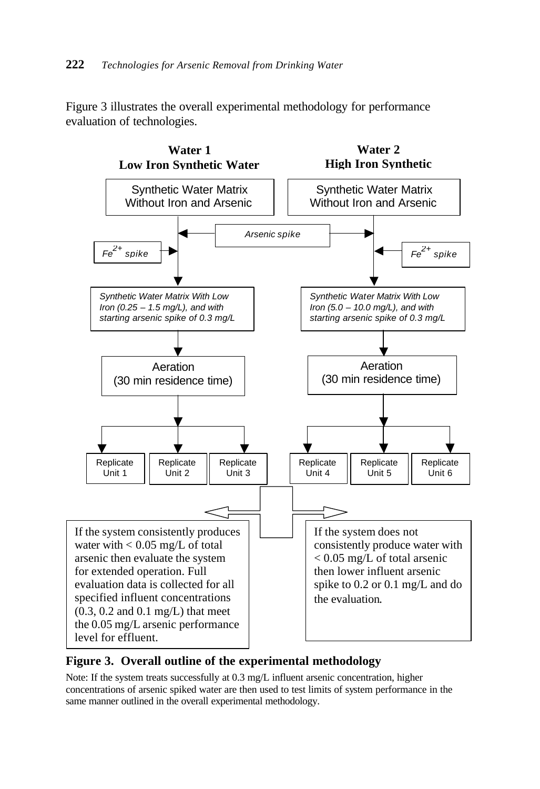Figure 3 illustrates the overall experimental methodology for performance evaluation of technologies.



**Figure 3. Overall outline of the experimental methodology**

Note: If the system treats successfully at 0.3 mg/L influent arsenic concentration, higher concentrations of arsenic spiked water are then used to test limits of system performance in the same manner outlined in the overall experimental methodology.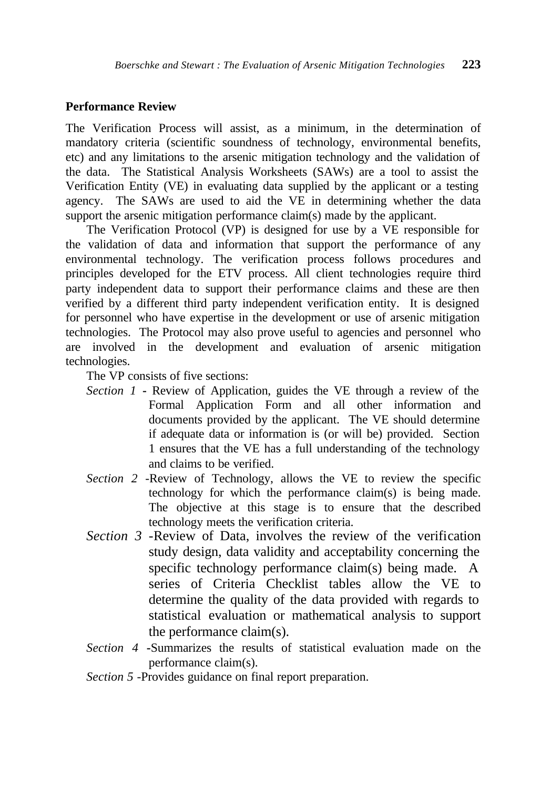#### **Performance Review**

The Verification Process will assist, as a minimum, in the determination of mandatory criteria (scientific soundness of technology, environmental benefits, etc) and any limitations to the arsenic mitigation technology and the validation of the data. The Statistical Analysis Worksheets (SAWs) are a tool to assist the Verification Entity (VE) in evaluating data supplied by the applicant or a testing agency. The SAWs are used to aid the VE in determining whether the data support the arsenic mitigation performance claim(s) made by the applicant.

The Verification Protocol (VP) is designed for use by a VE responsible for the validation of data and information that support the performance of any environmental technology. The verification process follows procedures and principles developed for the ETV process. All client technologies require third party independent data to support their performance claims and these are then verified by a different third party independent verification entity. It is designed for personnel who have expertise in the development or use of arsenic mitigation technologies. The Protocol may also prove useful to agencies and personnel who are involved in the development and evaluation of arsenic mitigation technologies.

The VP consists of five sections:

- *Section 1* **-** Review of Application, guides the VE through a review of the Formal Application Form and all other information and documents provided by the applicant. The VE should determine if adequate data or information is (or will be) provided. Section 1 ensures that the VE has a full understanding of the technology and claims to be verified.
- *Section 2* -Review of Technology, allows the VE to review the specific technology for which the performance claim(s) is being made. The objective at this stage is to ensure that the described technology meets the verification criteria.
- *Section 3* -Review of Data, involves the review of the verification study design, data validity and acceptability concerning the specific technology performance claim(s) being made. A series of Criteria Checklist tables allow the VE to determine the quality of the data provided with regards to statistical evaluation or mathematical analysis to support the performance claim(s).
- *Section 4* **-**Summarizes the results of statistical evaluation made on the performance claim(s).
- *Section 5 -*Provides guidance on final report preparation.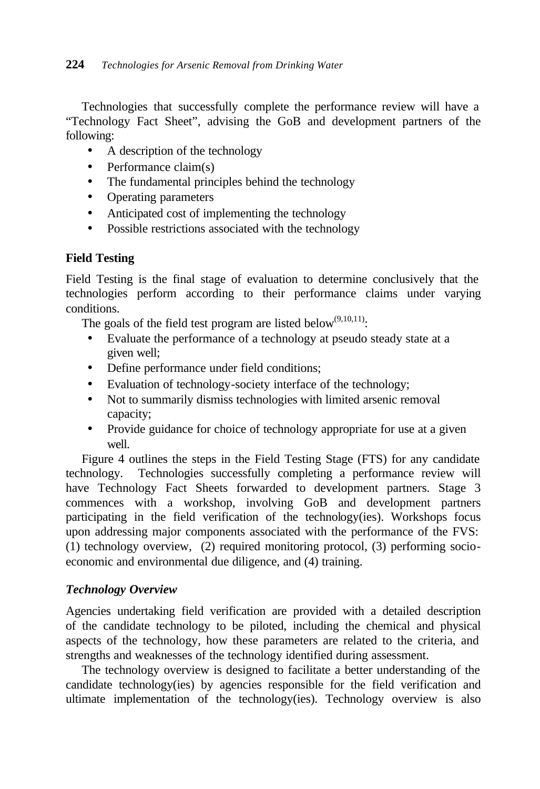Technologies that successfully complete the performance review will have a "Technology Fact Sheet", advising the GoB and development partners of the following:

- A description of the technology
- Performance claim(s)
- The fundamental principles behind the technology
- Operating parameters
- Anticipated cost of implementing the technology
- Possible restrictions associated with the technology

## **Field Testing**

Field Testing is the final stage of evaluation to determine conclusively that the technologies perform according to their performance claims under varying conditions.

The goals of the field test program are listed below<sup> $(9,10,11)$ </sup>:

- Evaluate the performance of a technology at pseudo steady state at a given well;
- Define performance under field conditions;
- Evaluation of technology-society interface of the technology;
- Not to summarily dismiss technologies with limited arsenic removal capacity;
- Provide guidance for choice of technology appropriate for use at a given well

Figure 4 outlines the steps in the Field Testing Stage (FTS) for any candidate technology. Technologies successfully completing a performance review will have Technology Fact Sheets forwarded to development partners. Stage 3 commences with a workshop, involving GoB and development partners participating in the field verification of the technology(ies). Workshops focus upon addressing major components associated with the performance of the FVS: (1) technology overview, (2) required monitoring protocol, (3) performing socioeconomic and environmental due diligence, and (4) training.

## *Technology Overview*

Agencies undertaking field verification are provided with a detailed description of the candidate technology to be piloted, including the chemical and physical aspects of the technology, how these parameters are related to the criteria, and strengths and weaknesses of the technology identified during assessment.

The technology overview is designed to facilitate a better understanding of the candidate technology(ies) by agencies responsible for the field verification and ultimate implementation of the technology(ies). Technology overview is also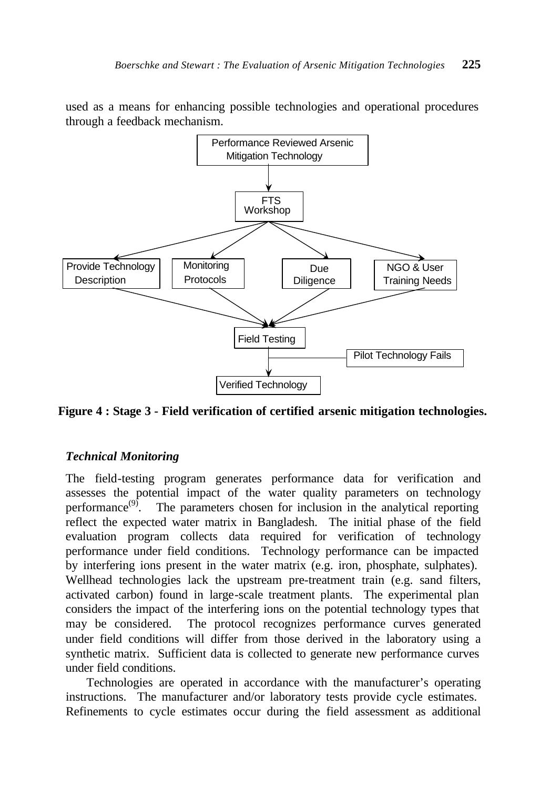used as a means for enhancing possible technologies and operational procedures through a feedback mechanism.



**Figure 4 : Stage 3 - Field verification of certified arsenic mitigation technologies.**

## *Technical Monitoring*

The field-testing program generates performance data for verification and assesses the potential impact of the water quality parameters on technology performance<sup> $(9)$ </sup>. The parameters chosen for inclusion in the analytical reporting reflect the expected water matrix in Bangladesh. The initial phase of the field evaluation program collects data required for verification of technology performance under field conditions. Technology performance can be impacted by interfering ions present in the water matrix (e.g. iron, phosphate, sulphates). Wellhead technologies lack the upstream pre-treatment train (e.g. sand filters, activated carbon) found in large-scale treatment plants. The experimental plan considers the impact of the interfering ions on the potential technology types that may be considered. The protocol recognizes performance curves generated under field conditions will differ from those derived in the laboratory using a synthetic matrix. Sufficient data is collected to generate new performance curves under field conditions.

Technologies are operated in accordance with the manufacturer's operating instructions. The manufacturer and/or laboratory tests provide cycle estimates. Refinements to cycle estimates occur during the field assessment as additional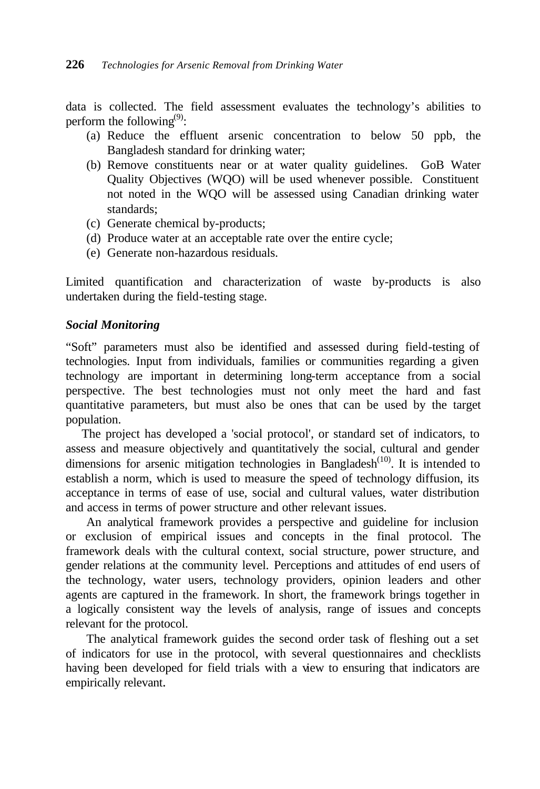data is collected. The field assessment evaluates the technology's abilities to perform the following<sup>(9)</sup>:

- (a) Reduce the effluent arsenic concentration to below 50 ppb, the Bangladesh standard for drinking water;
- (b) Remove constituents near or at water quality guidelines. GoB Water Quality Objectives (WQO) will be used whenever possible. Constituent not noted in the WQO will be assessed using Canadian drinking water standards;
- (c) Generate chemical by-products;
- (d) Produce water at an acceptable rate over the entire cycle;
- (e) Generate non-hazardous residuals.

Limited quantification and characterization of waste by-products is also undertaken during the field-testing stage.

## *Social Monitoring*

"Soft" parameters must also be identified and assessed during field-testing of technologies. Input from individuals, families or communities regarding a given technology are important in determining long-term acceptance from a social perspective. The best technologies must not only meet the hard and fast quantitative parameters, but must also be ones that can be used by the target population.

The project has developed a 'social protocol', or standard set of indicators, to assess and measure objectively and quantitatively the social, cultural and gender dimensions for arsenic mitigation technologies in Bangladesh<sup> $(10)$ </sup>. It is intended to establish a norm, which is used to measure the speed of technology diffusion, its acceptance in terms of ease of use, social and cultural values, water distribution and access in terms of power structure and other relevant issues.

An analytical framework provides a perspective and guideline for inclusion or exclusion of empirical issues and concepts in the final protocol. The framework deals with the cultural context, social structure, power structure, and gender relations at the community level. Perceptions and attitudes of end users of the technology, water users, technology providers, opinion leaders and other agents are captured in the framework. In short, the framework brings together in a logically consistent way the levels of analysis, range of issues and concepts relevant for the protocol.

The analytical framework guides the second order task of fleshing out a set of indicators for use in the protocol, with several questionnaires and checklists having been developed for field trials with a view to ensuring that indicators are empirically relevant.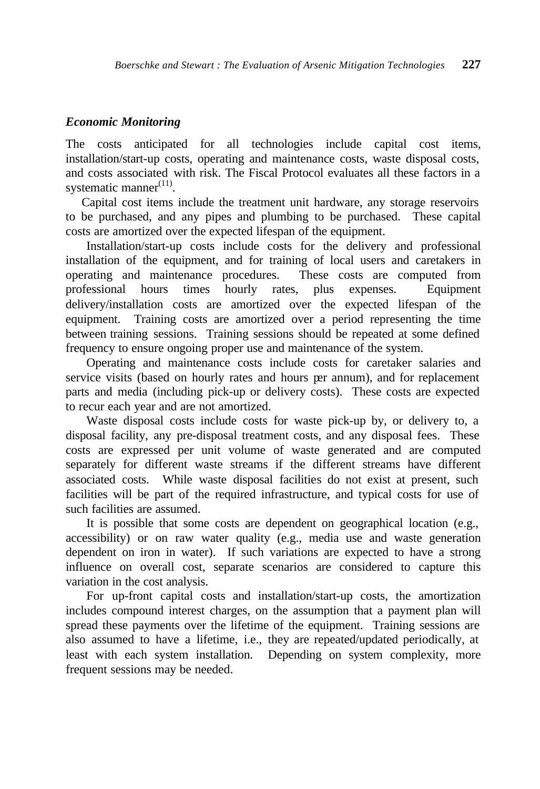#### *Economic Monitoring*

The costs anticipated for all technologies include capital cost items, installation/start-up costs, operating and maintenance costs, waste disposal costs, and costs associated with risk. The Fiscal Protocol evaluates all these factors in a systematic manner<sup>(11)</sup>.

Capital cost items include the treatment unit hardware, any storage reservoirs to be purchased, and any pipes and plumbing to be purchased. These capital costs are amortized over the expected lifespan of the equipment.

Installation/start-up costs include costs for the delivery and professional installation of the equipment, and for training of local users and caretakers in operating and maintenance procedures. These costs are computed from professional hours times hourly rates, plus expenses. Equipment delivery/installation costs are amortized over the expected lifespan of the equipment. Training costs are amortized over a period representing the time between training sessions. Training sessions should be repeated at some defined frequency to ensure ongoing proper use and maintenance of the system.

Operating and maintenance costs include costs for caretaker salaries and service visits (based on hourly rates and hours per annum), and for replacement parts and media (including pick-up or delivery costs). These costs are expected to recur each year and are not amortized.

Waste disposal costs include costs for waste pick-up by, or delivery to, a disposal facility, any pre-disposal treatment costs, and any disposal fees. These costs are expressed per unit volume of waste generated and are computed separately for different waste streams if the different streams have different associated costs. While waste disposal facilities do not exist at present, such facilities will be part of the required infrastructure, and typical costs for use of such facilities are assumed.

It is possible that some costs are dependent on geographical location (e.g., accessibility) or on raw water quality (e.g., media use and waste generation dependent on iron in water). If such variations are expected to have a strong influence on overall cost, separate scenarios are considered to capture this variation in the cost analysis.

For up-front capital costs and installation/start-up costs, the amortization includes compound interest charges, on the assumption that a payment plan will spread these payments over the lifetime of the equipment. Training sessions are also assumed to have a lifetime, i.e., they are repeated/updated periodically, at least with each system installation. Depending on system complexity, more frequent sessions may be needed.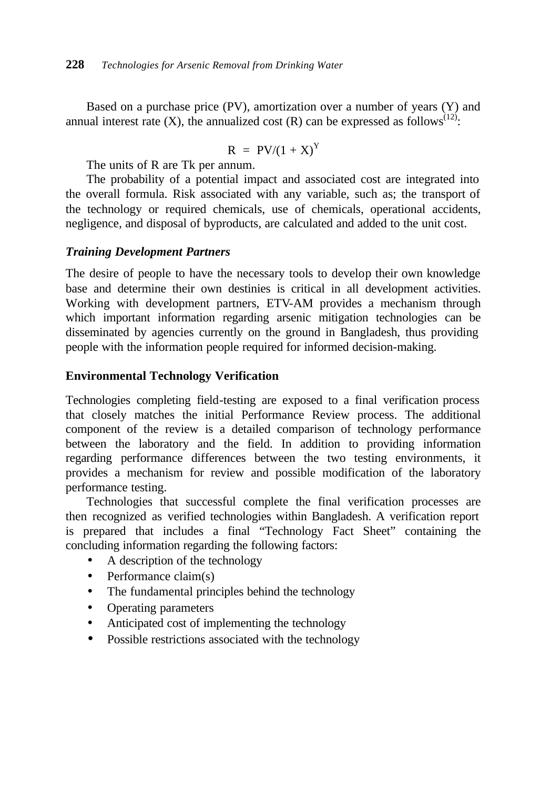Based on a purchase price (PV), amortization over a number of years (Y) and annual interest rate  $(X)$ , the annualized cost  $(R)$  can be expressed as follows<sup>(12)</sup>:

$$
R = PV/(1+X)^Y
$$

The units of R are Tk per annum.

The probability of a potential impact and associated cost are integrated into the overall formula. Risk associated with any variable, such as; the transport of the technology or required chemicals, use of chemicals, operational accidents, negligence, and disposal of byproducts, are calculated and added to the unit cost.

## *Training Development Partners*

The desire of people to have the necessary tools to develop their own knowledge base and determine their own destinies is critical in all development activities. Working with development partners, ETV-AM provides a mechanism through which important information regarding arsenic mitigation technologies can be disseminated by agencies currently on the ground in Bangladesh, thus providing people with the information people required for informed decision-making.

## **Environmental Technology Verification**

Technologies completing field-testing are exposed to a final verification process that closely matches the initial Performance Review process. The additional component of the review is a detailed comparison of technology performance between the laboratory and the field. In addition to providing information regarding performance differences between the two testing environments, it provides a mechanism for review and possible modification of the laboratory performance testing.

Technologies that successful complete the final verification processes are then recognized as verified technologies within Bangladesh. A verification report is prepared that includes a final "Technology Fact Sheet" containing the concluding information regarding the following factors:

- A description of the technology
- Performance claim(s)
- The fundamental principles behind the technology
- Operating parameters
- Anticipated cost of implementing the technology
- Possible restrictions associated with the technology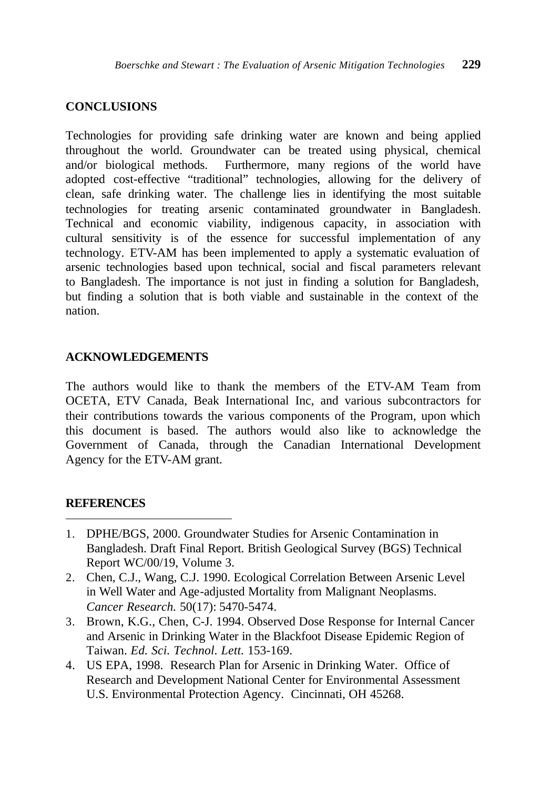## **CONCLUSIONS**

Technologies for providing safe drinking water are known and being applied throughout the world. Groundwater can be treated using physical, chemical and/or biological methods. Furthermore, many regions of the world have adopted cost-effective "traditional" technologies, allowing for the delivery of clean, safe drinking water. The challenge lies in identifying the most suitable technologies for treating arsenic contaminated groundwater in Bangladesh. Technical and economic viability, indigenous capacity, in association with cultural sensitivity is of the essence for successful implementation of any technology. ETV-AM has been implemented to apply a systematic evaluation of arsenic technologies based upon technical, social and fiscal parameters relevant to Bangladesh. The importance is not just in finding a solution for Bangladesh, but finding a solution that is both viable and sustainable in the context of the nation.

## **ACKNOWLEDGEMENTS**

The authors would like to thank the members of the ETV-AM Team from OCETA, ETV Canada, Beak International Inc, and various subcontractors for their contributions towards the various components of the Program, upon which this document is based. The authors would also like to acknowledge the Government of Canada, through the Canadian International Development Agency for the ETV-AM grant.

#### **REFERENCES**

 $\overline{a}$ 

- 1. DPHE/BGS, 2000. Groundwater Studies for Arsenic Contamination in Bangladesh. Draft Final Report. British Geological Survey (BGS) Technical Report WC/00/19, Volume 3.
- 2. Chen, C.J., Wang, C.J. 1990. Ecological Correlation Between Arsenic Level in Well Water and Age-adjusted Mortality from Malignant Neoplasms. *Cancer Research.* 50(17): 5470-5474.
- 3. Brown, K.G., Chen, C-J. 1994. Observed Dose Response for Internal Cancer and Arsenic in Drinking Water in the Blackfoot Disease Epidemic Region of Taiwan. *Ed. Sci. Technol. Lett.* 153-169.
- 4. US EPA, 1998. Research Plan for Arsenic in Drinking Water. Office of Research and Development National Center for Environmental Assessment U.S. Environmental Protection Agency. Cincinnati, OH 45268.